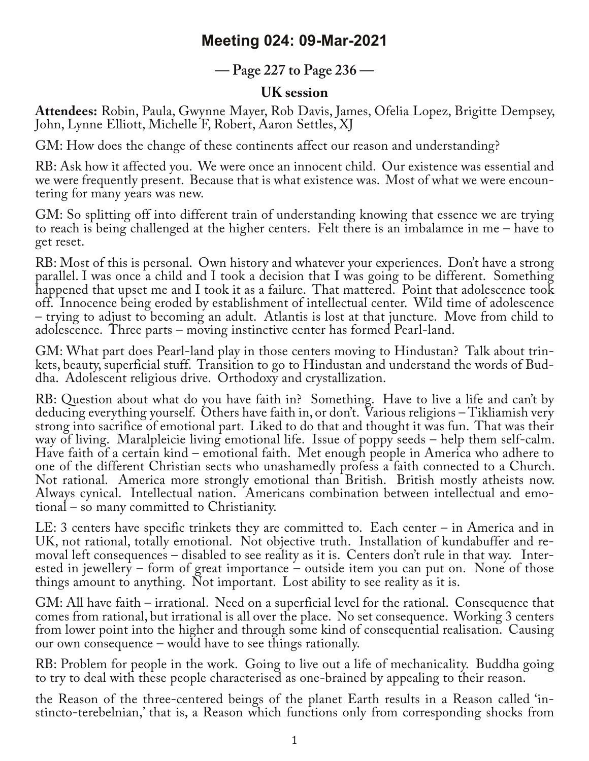## **Meeting 024: 09-Mar-2021**

**— Page 227 to Page 236 —**

## **UK session**

**Attendees:** Robin, Paula, Gwynne Mayer, Rob Davis, James, Ofelia Lopez, Brigitte Dempsey, John, Lynne Elliott, Michelle F, Robert, Aaron Settles, XJ

GM: How does the change of these continents affect our reason and understanding?

RB: Ask how it affected you. We were once an innocent child. Our existence was essential and we were frequently present. Because that is what existence was. Most of what we were encountering for many years was new.

GM: So splitting off into different train of understanding knowing that essence we are trying to reach is being challenged at the higher centers. Felt there is an imbalamce in me – have to get reset.

RB: Most of this is personal. Own history and whatever your experiences. Don't have a strong parallel. I was once a child and I took a decision that I was going to be different. Something happened that upset me and I took it as a failure. That mattered. Point that adolescence took off. Innocence being eroded by establishment of intellectual center. Wild time of adolescence – trying to adjust to becoming an adult. Atlantis is lost at that juncture. Move from child to adolescence. Three parts – moving instinctive center has formed Pearl-land.

GM: What part does Pearl-land play in those centers moving to Hindustan? Talk about trin-<br>kets, beauty, superficial stuff. Transition to go to Hindustan and understand the words of Bud-<br>dha. Adolescent religious drive. Or

RB: Question about what do you have faith in? Something. Have to live a life and can't by deducing everything yourself. Others have faith in, or don't. Various religions – Tikliamish very strong into sacrifice of emotional part. Liked to do that and thought it was fun. That was their way of living. Maralpleicie living emotional life. Issue of poppy seeds – help them self-calm. Have faith of a certain kind – emotional faith. Met enough people in America who adhere to one of the different Christian sects who unashamedly profess a faith connected to a Church. Not rational. America more strongly emotional than British. British mostly atheists now. Always cynical. Intellectual nation. Americans combination between intellectual and emo‐ tional – so many committed to Christianity.

LE: 3 centers have specific trinkets they are committed to. Each center – in America and in<br>UK, not rational, totally emotional. Not objective truth. Installation of kundabuffer and removal left consequences – disabled to see reality as it is. Centers don't rule in that way. Inter-<br>ested in jewellery – form of great importance – outside item you can put on. None of those things amount to anything. Not important. Lost ability to see reality as it is.

GM: All have faith – irrational. Need on a superficial level for the rational. Consequence that comes from rational, but irrational is all over the place. No set consequence. Working 3 centers from lower point into the higher and through some kind of consequential realisation. Causing our own consequence – would have to see things rationally.

RB: Problem for people in the work. Going to live out a life of mechanicality. Buddha going to try to deal with these people characterised as one-brained by appealing to their reason.

the Reason of the three-centered beings of the planet Earth results in a Reason called 'in-<br>stincto-terebelnian,' that is, a Reason which functions only from corresponding shocks from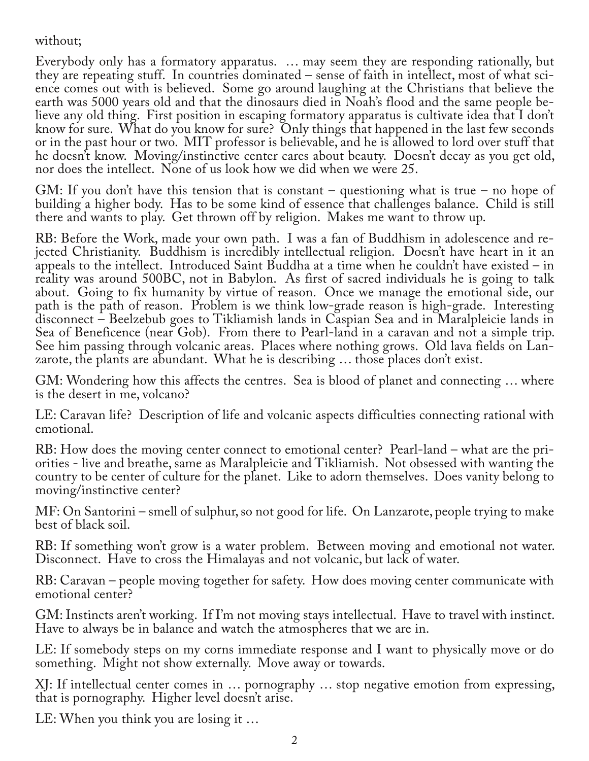without;

Everybody only has a formatory apparatus. … may seem they are responding rationally, but they are repeating stuff. In countries dominated – sense of faith in intellect, most of what science comes out with is believed. Some go around laughing at the Christians that believe the earth was 5000 years old and that the dinosaurs died in Noah's flood and the same people be‐ lieve any old thing. First position in escaping formatory apparatus is cultivate idea that I don't know for sure. What do you know for sure? Only things that happened in the last few seconds or in the past hour or two. MIT professor is believable, and he is allowed to lord over stuff that he doesn't know. Moving/instinctive center cares about beauty. Doesn't decay as you get old, nor does the intellect. None of us look how we did when we were 25.

GM: If you don't have this tension that is constant – questioning what is true – no hope of building a higher body. Has to be some kind of essence that challenges balance. Child is still there and wants to play. Get thrown off by religion. Makes me want to throw up.

RB: Before the Work, made your own path. I was a fan of Buddhism in adolescence and re-<br>jected Christianity. Buddhism is incredibly intellectual religion. Doesn't have heart in it an appeals to the intellect. Introduced Saint Buddha at a time when he couldn't have existed – in reality was around 500BC, not in Babylon. As first of sacred individuals he is going to talk about. Going to fix humanity by virtue of reason. Once we manage the emotional side, our path is the path of reason. Problem is we think low-grade reason is high-grade. Interesting disconnect - Beelzebub goes to Tikliamish lands in Caspian Sea and in Maralpleicie lands in Sea of Beneficence (near Gob). From there to Pearl-land in a caravan and not a simple trip. See him passing through volcanic areas. Places where nothing grows. Old lava fields on Lanzarote, the plants are abundant. What he is describing … those places don't exist.

GM: Wondering how this affects the centres. Sea is blood of planet and connecting … where is the desert in me, volcano?

LE: Caravan life? Description of life and volcanic aspects difficulties connecting rational with emotional.

RB: How does the moving center connect to emotional center? Pearl-land – what are the priorities - live and breathe, same as Maralpleicie and Tikliamish. Not obsessed with wanting the country to be center of culture for the planet. Like to adorn themselves. Does vanity belong to moving/instinctive center?

MF: On Santorini – smell of sulphur, so not good for life. On Lanzarote, people trying to make best of black soil.

RB: If something won't grow is a water problem. Between moving and emotional not water. Disconnect. Have to cross the Himalayas and not volcanic, but lack of water.

RB: Caravan – people moving together for safety. How does moving center communicate with emotional center?

GM: Instincts aren't working. If I'm not moving stays intellectual. Have to travel with instinct. Have to always be in balance and watch the atmospheres that we are in.

LE: If somebody steps on my corns immediate response and I want to physically move or do something. Might not show externally. Move away or towards.

XJ: If intellectual center comes in … pornography … stop negative emotion from expressing, that is pornography. Higher level doesn't arise.

LE: When you think you are losing it …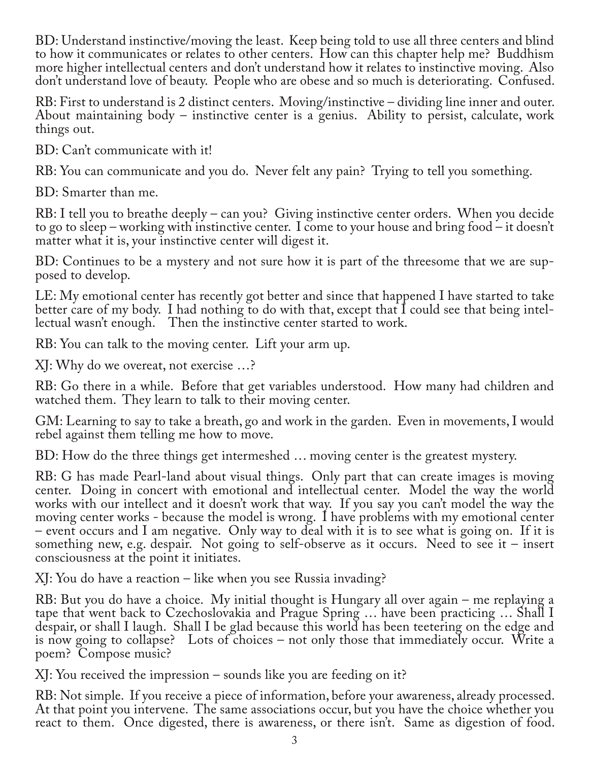BD: Understand instinctive/moving the least. Keep being told to use all three centers and blind to how it communicates or relates to other centers. How can this chapter help me? Buddhism more higher intellectual centers and don't understand how it relates to instinctive moving. Also don't understand love of beauty. People who are obese and so much is deteriorating. Confused.

RB: First to understand is 2 distinct centers. Moving/instinctive – dividing line inner and outer. About maintaining body – instinctive center is a genius. Ability to persist, calculate, work things out.

BD: Can't communicate with it!

RB: You can communicate and you do. Never felt any pain? Trying to tell you something.

BD: Smarter than me.

RB: I tell you to breathe deeply – can you? Giving instinctive center orders. When you decide to go to sleep – working with instinctive center. I come to your house and bring food – it doesn't matter what it is, your instinctive center will digest it.

BD: Continues to be a mystery and not sure how it is part of the threesome that we are supposed to develop.

LE: My emotional center has recently got better and since that happened I have started to take better care of my body. I had nothing to do with that, except that I could see that being intellectual wasn't enough. Then the instinctive center started to work.

RB: You can talk to the moving center. Lift your arm up.

XJ: Why do we overeat, not exercise …?

RB: Go there in a while. Before that get variables understood. How many had children and watched them. They learn to talk to their moving center.

GM: Learning to say to take a breath, go and work in the garden. Even in movements, I would rebel against them telling me how to move.

BD: How do the three things get intermeshed … moving center is the greatest mystery.

RB: G has made Pearl-land about visual things. Only part that can create images is moving center. Doing in concert with emotional and intellectual center. Model the way the world works with our intellect and it doesn't work that way. If you say you can't model the way the moving center works - because the model is wrong. I have problems with my emotional center – event occurs and I am negative. Only way to deal with it is to see what is going on. If it is something new, e.g. despair. Not going to self-observe as it occurs. Need to see it – insert consciousness at the point it initiates.

XJ: You do have a reaction – like when you see Russia invading?

RB: But you do have a choice. My initial thought is Hungary all over again – me replaying a tape that went back to Czechoslovakia and Prague Spring … have been practicing … Shall I despair, or shall I laugh. Shall I be glad because this world has been teetering on the edge and is now going to collapse? Lots of choices – not only those that immediately occur. Write a poem? Compose music?

XJ: You received the impression – sounds like you are feeding on it?

RB: Not simple. If you receive a piece of information, before your awareness, already processed. At that point you intervene. The same associations occur, but you have the choice whether you react to them. Once digested, there is awareness, or there isn't. Same as digestion of food.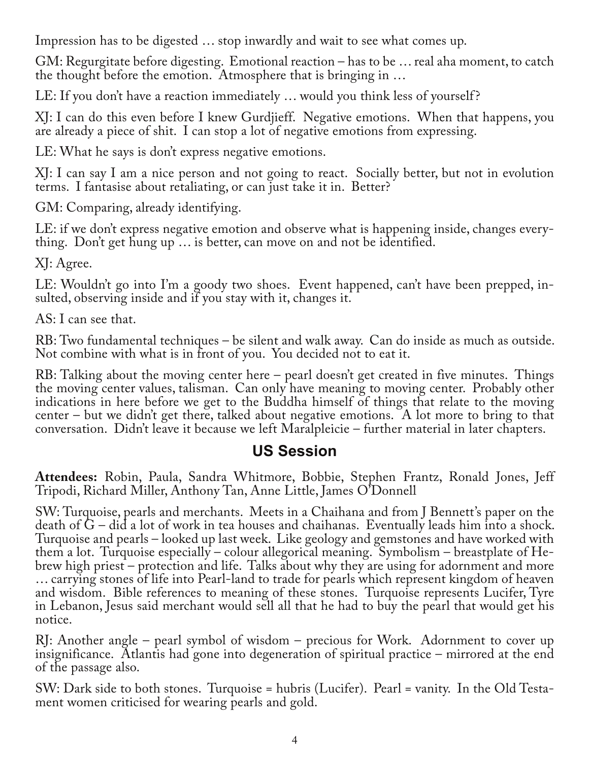Impression has to be digested … stop inwardly and wait to see what comes up.

GM: Regurgitate before digesting. Emotional reaction – has to be … real aha moment, to catch the thought before the emotion. Atmosphere that is bringing in …

LE: If you don't have a reaction immediately ... would you think less of yourself?

XJ: I can do this even before I knew Gurdjieff. Negative emotions. When that happens, you are already a piece of shit. I can stop a lot of negative emotions from expressing.

LE: What he says is don't express negative emotions.

XJ: I can say I am a nice person and not going to react. Socially better, but not in evolution terms. I fantasise about retaliating, or can just take it in. Better?

GM: Comparing, already identifying.

LE: if we don't express negative emotion and observe what is happening inside, changes every‐ thing. Don't get hung up … is better, can move on and not be identified.

XJ: Agree.

LE: Wouldn't go into I'm a goody two shoes. Event happened, can't have been prepped, insulted, observing inside and if you stay with it, changes it.

AS: I can see that.

RB: Two fundamental techniques – be silent and walk away. Can do inside as much as outside. Not combine with what is in front of you. You decided not to eat it.

RB: Talking about the moving center here – pearl doesn't get created in five minutes. Things the moving center values, talisman. Can only have meaning to moving center. Probably other indications in here before we get to the Buddha himself of things that relate to the moving center – but we didn't get there, talked about negative emotions. A lot more to bring to that conversation. Didn't leave it because we left Maralpleicie – further material in later chapters.

## **US Session**

**Attendees:** Robin, Paula, Sandra Whitmore, Bobbie, Stephen Frantz, Ronald Jones, Jeff Tripodi, Richard Miller, Anthony Tan, Anne Little, James O'Donnell

SW: Turquoise, pearls and merchants. Meets in a Chaihana and from J Bennett's paper on the death of G – did a lot of work in tea houses and chaihanas. Eventually leads him into a shock. Turquoise and pearls – looked up last week. Like geology and gemstones and have worked with brew high priest – protection and life. Talks about why they are using for adornment and more … carrying stones of life into Pearl-land to trade for pearls which represent kingdom of heaven and wisdom. Bible references to meaning of these stones. Turquoise represents Lucifer, Tyre in Lebanon, Jesus said merchant would sell all that he had to buy the pearl that would get his notice.

RJ: Another angle – pearl symbol of wisdom – precious for Work. Adornment to cover up insignificance. Atlantis had gone into degeneration of spiritual practice – mirrored at the end of the passage also.

SW: Dark side to both stones. Turquoise = hubris (Lucifer). Pearl = vanity. In the Old Testa‐ ment women criticised for wearing pearls and gold.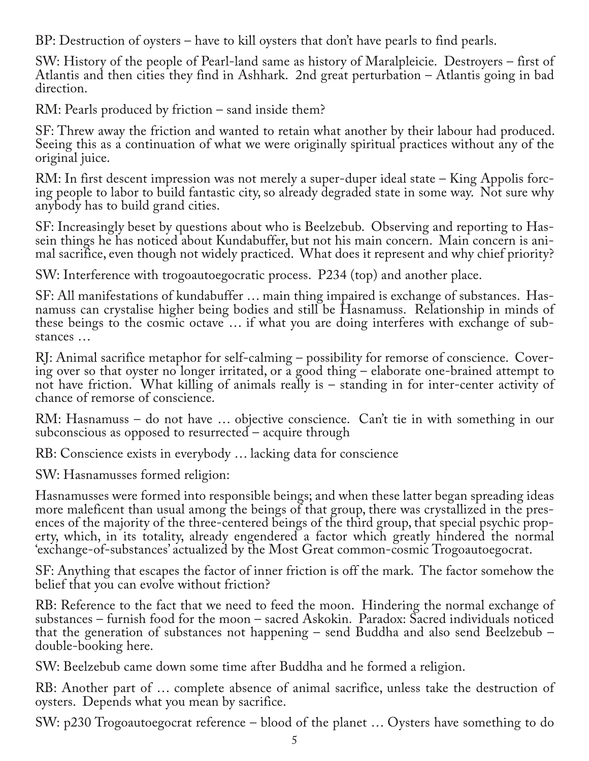BP: Destruction of oysters – have to kill oysters that don't have pearls to find pearls.

SW: History of the people of Pearl-land same as history of Maralpleicie. Destroyers – first of Atlantis and then cities they find in Ashhark. 2nd great perturbation – Atlantis going in bad direction.

RM: Pearls produced by friction – sand inside them?

SF: Threw away the friction and wanted to retain what another by their labour had produced. Seeing this as a continuation of what we were originally spiritual practices without any of the original juice.

RM: In first descent impression was not merely a super-duper ideal state – King Appolis forcing people to labor to build fantastic city, so already degraded state in some way. Not sure why anybody has to build grand cities.

SF: Increasingly beset by questions about who is Beelzebub. Observing and reporting to Has‐ sein things he has noticed about Kundabuffer, but not his main concern. Main concern is ani‐ mal sacrifice, even though not widely practiced. What does it represent and why chief priority?

SW: Interference with trogoautoegocratic process. P234 (top) and another place.

SF: All manifestations of kundabuffer … main thing impaired is exchange of substances. Has‐ namuss can crystalise higher being bodies and still be Hasnamuss. Relationship in minds of these beings to the cosmic octave … if what you are doing interferes with exchange of sub‐ stances …

RJ: Animal sacrifice metaphor for self-calming – possibility for remorse of conscience. Cover‐ ing over so that oyster no longer irritated, or a good thing – elaborate one-brained attempt to not have friction. What killing of animals really is – standing in for inter-center activity of chance of remorse of conscience.

RM: Hasnamuss – do not have … objective conscience. Can't tie in with something in our subconscious as opposed to resurrected – acquire through

RB: Conscience exists in everybody … lacking data for conscience

SW: Hasnamusses formed religion:

Hasnamusses were formed into responsible beings; and when these latter began spreading ideas more maleficent than usual among the beings of that group, there was crystallized in the presences of the majority of the three-centered beings of the third group, that special psychic property, which, in its totality, already engendered a factor which greatly hindered the normal 'exchange-of-substances' actualized by the Most Great common-cosmic Trogoautoegocrat.

SF: Anything that escapes the factor of inner friction is off the mark. The factor somehow the belief that you can evolve without friction?

RB: Reference to the fact that we need to feed the moon. Hindering the normal exchange of substances – furnish food for the moon – sacred Askokin. Paradox: Sacred individuals noticed that the generation of substances not happening – send Buddha and also send Beelzebub – double-booking here.

SW: Beelzebub came down some time after Buddha and he formed a religion.

RB: Another part of … complete absence of animal sacrifice, unless take the destruction of oysters. Depends what you mean by sacrifice.

SW: p230 Trogoautoegocrat reference – blood of the planet … Oysters have something to do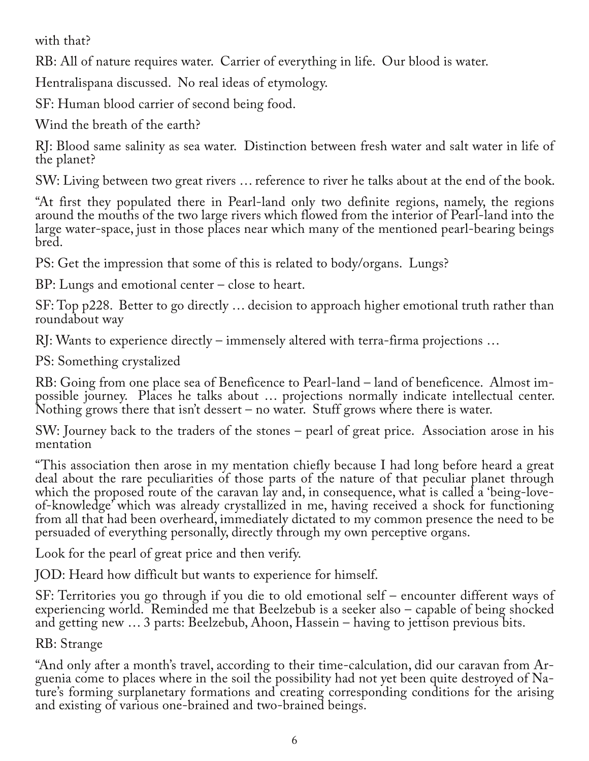with that?

RB: All of nature requires water. Carrier of everything in life. Our blood is water.

Hentralispana discussed. No real ideas of etymology.

SF: Human blood carrier of second being food.

Wind the breath of the earth?

RJ: Blood same salinity as sea water. Distinction between fresh water and salt water in life of the planet?

SW: Living between two great rivers … reference to river he talks about at the end of the book.

"At first they populated there in Pearl-land only two definite regions, namely, the regions around the mouths of the two large rivers which flowed from the interior of Pearl-land into the large water-space, just in those places near which many of the mentioned pearl-bearing beings bred.

PS: Get the impression that some of this is related to body/organs. Lungs?

BP: Lungs and emotional center – close to heart.

SF: Top p228. Better to go directly … decision to approach higher emotional truth rather than roundabout way

RJ: Wants to experience directly – immensely altered with terra-firma projections …

PS: Something crystalized

RB: Going from one place sea of Beneficence to Pearl-land – land of beneficence. Almost im‐ possible journey. Places he talks about ... projections normally indicate intellectual center. Nothing grows there that isn't dessert – no water. Stuff grows where there is water.

SW: Journey back to the traders of the stones – pearl of great price. Association arose in his mentation

"This association then arose in my mentation chiefly because I had long before heard a great deal about the rare peculiarities of those parts of the nature of that peculiar planet through which the proposed route of the caravan lay and, in consequence, what is called a 'being-loveof-knowledge' which was already crystallized in me, having received a shock for functioning from all that had been overheard, immediately dictated to my common presence the need to be persuaded of everything personally, directly through my own perceptive organs.

Look for the pearl of great price and then verify.

JOD: Heard how difficult but wants to experience for himself.

SF: Territories you go through if you die to old emotional self – encounter different ways of experiencing world. Reminded me that Beelzebub is a seeker also – capable of being shocked and getting new … 3 parts: Beelzebub, Ahoon, Hassein – having to jettison previous bits.

RB: Strange

"And only after a month's travel, according to their time-calculation, did our caravan from Ar‐ guenia come to places where in the soil the possibility had not yet been quite destroyed of Na‐ ture's forming surplanetary formations and creating corresponding conditions for the arising and existing of various one-brained and two-brained beings.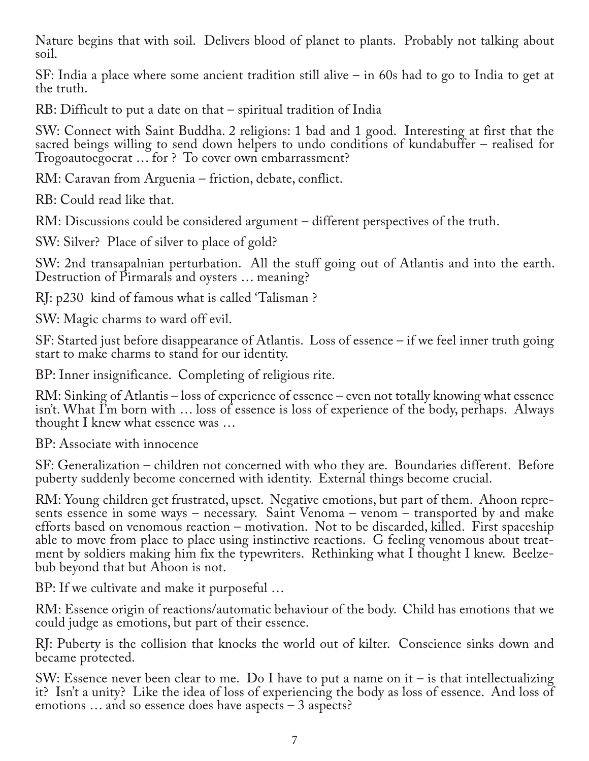Nature begins that with soil. Delivers blood of planet to plants. Probably not talking about soil.

SF: India a place where some ancient tradition still alive – in 60s had to go to India to get at the truth.

RB: Difficult to put a date on that – spiritual tradition of India

SW: Connect with Saint Buddha. 2 religions: 1 bad and 1 good. Interesting at first that the sacred beings willing to send down helpers to undo conditions of kundabuffer – realised for Trogoautoegocrat … for ? To cover own embarrassment?

RM: Caravan from Arguenia – friction, debate, conflict.

RB: Could read like that.

RM: Discussions could be considered argument – different perspectives of the truth.

SW: Silver? Place of silver to place of gold?

SW: 2nd transapalnian perturbation. All the stuff going out of Atlantis and into the earth. Destruction of Pirmarals and oysters … meaning?

RJ: p230 kind of famous what is called 'Talisman ?

SW: Magic charms to ward off evil.

SF: Started just before disappearance of Atlantis. Loss of essence – if we feel inner truth going start to make charms to stand for our identity.

BP: Inner insignificance. Completing of religious rite.

RM: Sinking of Atlantis – loss of experience of essence – even not totally knowing what essence isn't. What I'm born with … loss of essence is loss of experience of the body, perhaps. Always thought I knew what essence was …

BP: Associate with innocence

SF: Generalization – children not concerned with who they are. Boundaries different. Before puberty suddenly become concerned with identity. External things become crucial.

RM: Young children get frustrated, upset. Negative emotions, but part of them. Ahoon represents essence in some ways – necessary. Saint Venoma – venom – transported by and make efforts based on venomous reaction – motivation. Not to be discarded, killed. First spaceship able to move from place to place using instinctive reactions. G feeling venomous about treatment by soldiers making him fix the typewriters. Rethinking what I thought I knew. Beelze-<br>bub beyond that but Ahoon is not.

BP: If we cultivate and make it purposeful …

RM: Essence origin of reactions/automatic behaviour of the body. Child has emotions that we could judge as emotions, but part of their essence.

RJ: Puberty is the collision that knocks the world out of kilter. Conscience sinks down and became protected.

SW: Essence never been clear to me. Do I have to put a name on it – is that intellectualizing it? Isn't a unity? Like the idea of loss of experiencing the body as loss of essence. And loss of emotions … and so essence does have aspects – 3 aspects?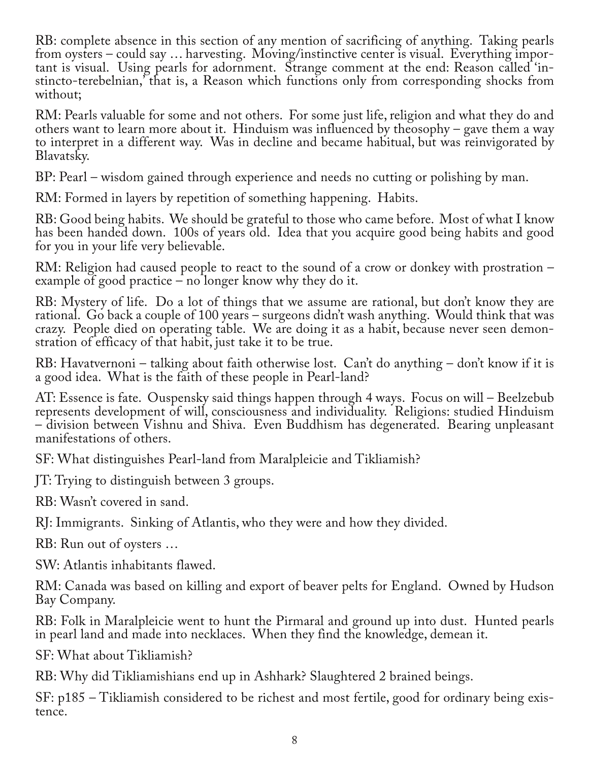RB: complete absence in this section of any mention of sacrificing of anything. Taking pearls from oysters – could say … harvesting. Moving/instinctive center is visual. Everything impor‐ tant is visual. Using pearls for adornment. Strange comment at the end: Reason called 'instincto-terebelnian,' that is, a Reason which functions only from corresponding shocks from without;

RM: Pearls valuable for some and not others. For some just life, religion and what they do and others want to learn more about it. Hinduism was influenced by theosophy – gave them a way to interpret in a different way. Was in decline and became habitual, but was reinvigorated by Blavatsky.

BP: Pearl – wisdom gained through experience and needs no cutting or polishing by man.

RM: Formed in layers by repetition of something happening. Habits.

RB: Good being habits. We should be grateful to those who came before. Most of what I know has been handed down. 100s of years old. Idea that you acquire good being habits and good for you in your life very believable.

RM: Religion had caused people to react to the sound of a crow or donkey with prostration – example of good practice – no longer know why they do it.

RB: Mystery of life. Do a lot of things that we assume are rational, but don't know they are rational. Go back a couple of 100 years – surgeons didn't wash anything. Would think that was crazy. People died on operating table. We are doing it as a habit, because never seen demonstration of efficacy of that habit, just take it to be true.

RB: Havatvernoni – talking about faith otherwise lost. Can't do anything – don't know if it is a good idea. What is the faith of these people in Pearl-land?

AT: Essence is fate. Ouspensky said things happen through 4 ways. Focus on will – Beelzebub represents development of will, consciousness and individuality. Religions: studied Hinduism – division between Vishnu and Shiva. Even Buddhism has degenerated. Bearing unpleasant manifestations of others.

SF: What distinguishes Pearl-land from Maralpleicie and Tikliamish?

JT: Trying to distinguish between 3 groups.

RB: Wasn't covered in sand.

RJ: Immigrants. Sinking of Atlantis, who they were and how they divided.

RB: Run out of oysters …

SW: Atlantis inhabitants flawed.

RM: Canada was based on killing and export of beaver pelts for England. Owned by Hudson Bay Company.

RB: Folk in Maralpleicie went to hunt the Pirmaral and ground up into dust. Hunted pearls in pearl land and made into necklaces. When they find the knowledge, demean it.

SF: What about Tikliamish?

RB: Why did Tikliamishians end up in Ashhark? Slaughtered 2 brained beings.

SF: p185 – Tikliamish considered to be richest and most fertile, good for ordinary being exis-<br>tence.